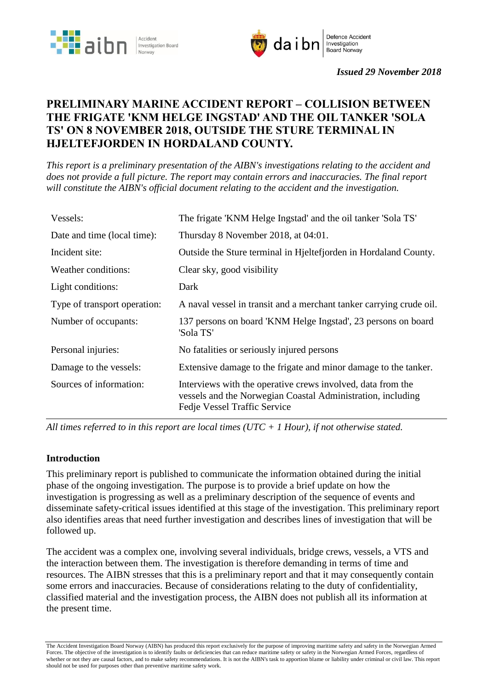



*Issued 29 November 2018*

# **PRELIMINARY MARINE ACCIDENT REPORT – COLLISION BETWEEN THE FRIGATE 'KNM HELGE INGSTAD' AND THE OIL TANKER 'SOLA TS' ON 8 NOVEMBER 2018, OUTSIDE THE STURE TERMINAL IN HJELTEFJORDEN IN HORDALAND COUNTY.**

*This report is a preliminary presentation of the AIBN's investigations relating to the accident and does not provide a full picture. The report may contain errors and inaccuracies. The final report will constitute the AIBN's official document relating to the accident and the investigation.*

| Vessels:                     | The frigate 'KNM Helge Ingstad' and the oil tanker 'Sola TS'                                                                                               |
|------------------------------|------------------------------------------------------------------------------------------------------------------------------------------------------------|
| Date and time (local time):  | Thursday 8 November 2018, at 04:01.                                                                                                                        |
| Incident site:               | Outside the Sture terminal in Hieltefjorden in Hordaland County.                                                                                           |
| Weather conditions:          | Clear sky, good visibility                                                                                                                                 |
| Light conditions:            | Dark                                                                                                                                                       |
| Type of transport operation: | A naval vessel in transit and a merchant tanker carrying crude oil.                                                                                        |
| Number of occupants:         | 137 persons on board 'KNM Helge Ingstad', 23 persons on board<br>'Sola TS'                                                                                 |
| Personal injuries:           | No fatalities or seriously injured persons                                                                                                                 |
| Damage to the vessels:       | Extensive damage to the frigate and minor damage to the tanker.                                                                                            |
| Sources of information:      | Interviews with the operative crews involved, data from the<br>vessels and the Norwegian Coastal Administration, including<br>Fedje Vessel Traffic Service |

*All times referred to in this report are local times (UTC + 1 Hour), if not otherwise stated.*

#### **Introduction**

This preliminary report is published to communicate the information obtained during the initial phase of the ongoing investigation. The purpose is to provide a brief update on how the investigation is progressing as well as a preliminary description of the sequence of events and disseminate safety-critical issues identified at this stage of the investigation. This preliminary report also identifies areas that need further investigation and describes lines of investigation that will be followed up.

The accident was a complex one, involving several individuals, bridge crews, vessels, a VTS and the interaction between them. The investigation is therefore demanding in terms of time and resources. The AIBN stresses that this is a preliminary report and that it may consequently contain some errors and inaccuracies. Because of considerations relating to the duty of confidentiality, classified material and the investigation process, the AIBN does not publish all its information at the present time.

The Accident Investigation Board Norway (AIBN) has produced this report exclusively for the purpose of improving maritime safety and safety in the Norwegian Armed Forces. The objective of the investigation is to identify faults or deficiencies that can reduce maritime safety or safety in the Norwegian Armed Forces, regardless of whether or not they are causal factors, and to make safety recommendations. It is not the AIBN's task to apportion blame or liability under criminal or civil law. This report should not be used for purposes other than preventive maritime safety work.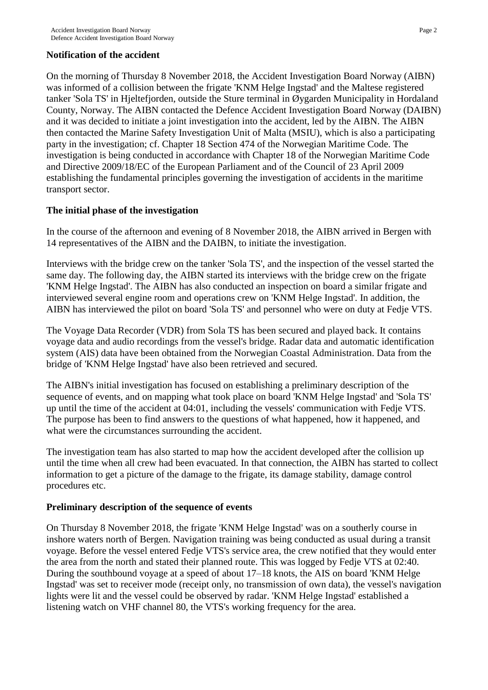## **Notification of the accident**

On the morning of Thursday 8 November 2018, the Accident Investigation Board Norway (AIBN) was informed of a collision between the frigate 'KNM Helge Ingstad' and the Maltese registered tanker 'Sola TS' in Hjeltefjorden, outside the Sture terminal in Øygarden Municipality in Hordaland County, Norway. The AIBN contacted the Defence Accident Investigation Board Norway (DAIBN) and it was decided to initiate a joint investigation into the accident, led by the AIBN. The AIBN then contacted the Marine Safety Investigation Unit of Malta (MSIU), which is also a participating party in the investigation; cf. Chapter 18 Section 474 of the Norwegian Maritime Code. The investigation is being conducted in accordance with Chapter 18 of the Norwegian Maritime Code and Directive 2009/18/EC of the European Parliament and of the Council of 23 April 2009 establishing the fundamental principles governing the investigation of accidents in the maritime transport sector.

## **The initial phase of the investigation**

In the course of the afternoon and evening of 8 November 2018, the AIBN arrived in Bergen with 14 representatives of the AIBN and the DAIBN, to initiate the investigation.

Interviews with the bridge crew on the tanker 'Sola TS', and the inspection of the vessel started the same day. The following day, the AIBN started its interviews with the bridge crew on the frigate 'KNM Helge Ingstad'. The AIBN has also conducted an inspection on board a similar frigate and interviewed several engine room and operations crew on 'KNM Helge Ingstad'. In addition, the AIBN has interviewed the pilot on board 'Sola TS' and personnel who were on duty at Fedje VTS.

The Voyage Data Recorder (VDR) from Sola TS has been secured and played back. It contains voyage data and audio recordings from the vessel's bridge. Radar data and automatic identification system (AIS) data have been obtained from the Norwegian Coastal Administration. Data from the bridge of 'KNM Helge Ingstad' have also been retrieved and secured.

The AIBN's initial investigation has focused on establishing a preliminary description of the sequence of events, and on mapping what took place on board 'KNM Helge Ingstad' and 'Sola TS' up until the time of the accident at 04:01, including the vessels' communication with Fedje VTS. The purpose has been to find answers to the questions of what happened, how it happened, and what were the circumstances surrounding the accident.

The investigation team has also started to map how the accident developed after the collision up until the time when all crew had been evacuated. In that connection, the AIBN has started to collect information to get a picture of the damage to the frigate, its damage stability, damage control procedures etc.

#### **Preliminary description of the sequence of events**

On Thursday 8 November 2018, the frigate 'KNM Helge Ingstad' was on a southerly course in inshore waters north of Bergen. Navigation training was being conducted as usual during a transit voyage. Before the vessel entered Fedje VTS's service area, the crew notified that they would enter the area from the north and stated their planned route. This was logged by Fedje VTS at 02:40. During the southbound voyage at a speed of about 17–18 knots, the AIS on board 'KNM Helge Ingstad' was set to receiver mode (receipt only, no transmission of own data), the vessel's navigation lights were lit and the vessel could be observed by radar. 'KNM Helge Ingstad' established a listening watch on VHF channel 80, the VTS's working frequency for the area.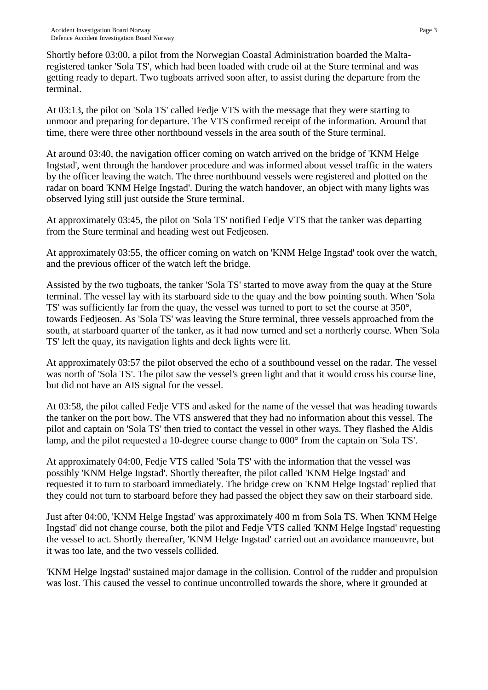Shortly before 03:00, a pilot from the Norwegian Coastal Administration boarded the Maltaregistered tanker 'Sola TS', which had been loaded with crude oil at the Sture terminal and was getting ready to depart. Two tugboats arrived soon after, to assist during the departure from the terminal.

At 03:13, the pilot on 'Sola TS' called Fedje VTS with the message that they were starting to unmoor and preparing for departure. The VTS confirmed receipt of the information. Around that time, there were three other northbound vessels in the area south of the Sture terminal.

At around 03:40, the navigation officer coming on watch arrived on the bridge of 'KNM Helge Ingstad', went through the handover procedure and was informed about vessel traffic in the waters by the officer leaving the watch. The three northbound vessels were registered and plotted on the radar on board 'KNM Helge Ingstad'. During the watch handover, an object with many lights was observed lying still just outside the Sture terminal.

At approximately 03:45, the pilot on 'Sola TS' notified Fedje VTS that the tanker was departing from the Sture terminal and heading west out Fedjeosen.

At approximately 03:55, the officer coming on watch on 'KNM Helge Ingstad' took over the watch, and the previous officer of the watch left the bridge.

Assisted by the two tugboats, the tanker 'Sola TS' started to move away from the quay at the Sture terminal. The vessel lay with its starboard side to the quay and the bow pointing south. When 'Sola TS' was sufficiently far from the quay, the vessel was turned to port to set the course at 350°, towards Fedjeosen. As 'Sola TS' was leaving the Sture terminal, three vessels approached from the south, at starboard quarter of the tanker, as it had now turned and set a northerly course. When 'Sola TS' left the quay, its navigation lights and deck lights were lit.

At approximately 03:57 the pilot observed the echo of a southbound vessel on the radar. The vessel was north of 'Sola TS'. The pilot saw the vessel's green light and that it would cross his course line, but did not have an AIS signal for the vessel.

At 03:58, the pilot called Fedje VTS and asked for the name of the vessel that was heading towards the tanker on the port bow. The VTS answered that they had no information about this vessel. The pilot and captain on 'Sola TS' then tried to contact the vessel in other ways. They flashed the Aldis lamp, and the pilot requested a 10-degree course change to 000° from the captain on 'Sola TS'.

At approximately 04:00, Fedje VTS called 'Sola TS' with the information that the vessel was possibly 'KNM Helge Ingstad'. Shortly thereafter, the pilot called 'KNM Helge Ingstad' and requested it to turn to starboard immediately. The bridge crew on 'KNM Helge Ingstad' replied that they could not turn to starboard before they had passed the object they saw on their starboard side.

Just after 04:00, 'KNM Helge Ingstad' was approximately 400 m from Sola TS. When 'KNM Helge Ingstad' did not change course, both the pilot and Fedje VTS called 'KNM Helge Ingstad' requesting the vessel to act. Shortly thereafter, 'KNM Helge Ingstad' carried out an avoidance manoeuvre, but it was too late, and the two vessels collided.

'KNM Helge Ingstad' sustained major damage in the collision. Control of the rudder and propulsion was lost. This caused the vessel to continue uncontrolled towards the shore, where it grounded at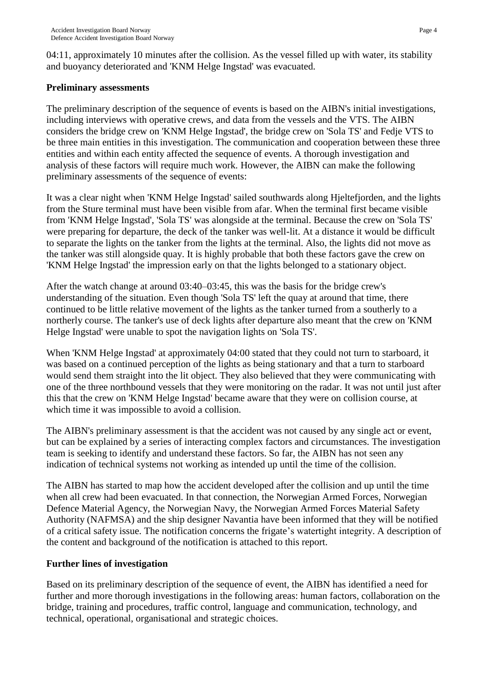04:11, approximately 10 minutes after the collision. As the vessel filled up with water, its stability and buoyancy deteriorated and 'KNM Helge Ingstad' was evacuated.

#### **Preliminary assessments**

The preliminary description of the sequence of events is based on the AIBN's initial investigations, including interviews with operative crews, and data from the vessels and the VTS. The AIBN considers the bridge crew on 'KNM Helge Ingstad', the bridge crew on 'Sola TS' and Fedje VTS to be three main entities in this investigation. The communication and cooperation between these three entities and within each entity affected the sequence of events. A thorough investigation and analysis of these factors will require much work. However, the AIBN can make the following preliminary assessments of the sequence of events:

It was a clear night when 'KNM Helge Ingstad' sailed southwards along Hjeltefjorden, and the lights from the Sture terminal must have been visible from afar. When the terminal first became visible from 'KNM Helge Ingstad', 'Sola TS' was alongside at the terminal. Because the crew on 'Sola TS' were preparing for departure, the deck of the tanker was well-lit. At a distance it would be difficult to separate the lights on the tanker from the lights at the terminal. Also, the lights did not move as the tanker was still alongside quay. It is highly probable that both these factors gave the crew on 'KNM Helge Ingstad' the impression early on that the lights belonged to a stationary object.

After the watch change at around 03:40–03:45, this was the basis for the bridge crew's understanding of the situation. Even though 'Sola TS' left the quay at around that time, there continued to be little relative movement of the lights as the tanker turned from a southerly to a northerly course. The tanker's use of deck lights after departure also meant that the crew on 'KNM Helge Ingstad' were unable to spot the navigation lights on 'Sola TS'.

When 'KNM Helge Ingstad' at approximately 04:00 stated that they could not turn to starboard, it was based on a continued perception of the lights as being stationary and that a turn to starboard would send them straight into the lit object. They also believed that they were communicating with one of the three northbound vessels that they were monitoring on the radar. It was not until just after this that the crew on 'KNM Helge Ingstad' became aware that they were on collision course, at which time it was impossible to avoid a collision.

The AIBN's preliminary assessment is that the accident was not caused by any single act or event, but can be explained by a series of interacting complex factors and circumstances. The investigation team is seeking to identify and understand these factors. So far, the AIBN has not seen any indication of technical systems not working as intended up until the time of the collision.

The AIBN has started to map how the accident developed after the collision and up until the time when all crew had been evacuated. In that connection, the Norwegian Armed Forces, Norwegian Defence Material Agency, the Norwegian Navy, the Norwegian Armed Forces Material Safety Authority (NAFMSA) and the ship designer Navantia have been informed that they will be notified of a critical safety issue. The notification concerns the frigate's watertight integrity. A description of the content and background of the notification is attached to this report.

## **Further lines of investigation**

Based on its preliminary description of the sequence of event, the AIBN has identified a need for further and more thorough investigations in the following areas: human factors, collaboration on the bridge, training and procedures, traffic control, language and communication, technology, and technical, operational, organisational and strategic choices.